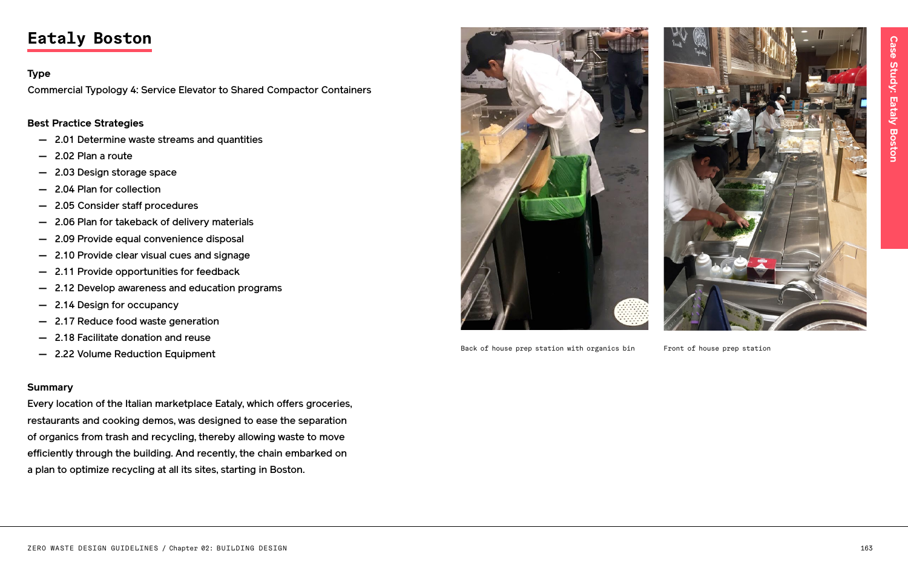

Back of house prep station with organics bin Front of house prep station



# **Eataly Boston**

### **Type**

Commercial Typology 4: Service Elevator to Shared Compactor Containers

**Best Practice Strategies**

- 2.01 Determine waste streams and quantities
- 2.02 Plan a route
- 2.03 Design storage space
- 2.04 Plan for collection
- 2.05 Consider staff procedures
- 2.06 Plan for takeback of delivery materials
- 2.09 Provide equal convenience disposal
- 2.10 Provide clear visual cues and signage
- 2.11 Provide opportunities for feedback
- 2.12 Develop awareness and education programs
- 2.14 Design for occupancy
- 2.17 Reduce food waste generation
- 2.18 Facilitate donation and reuse
- 2.22 Volume Reduction Equipment

### **Summary**

Every location of the Italian marketplace Eataly, which offers groceries, restaurants and cooking demos, was designed to ease the separation of organics from trash and recycling, thereby allowing waste to move efficiently through the building. And recently, the chain embarked on a plan to optimize recycling at all its sites, starting in Boston.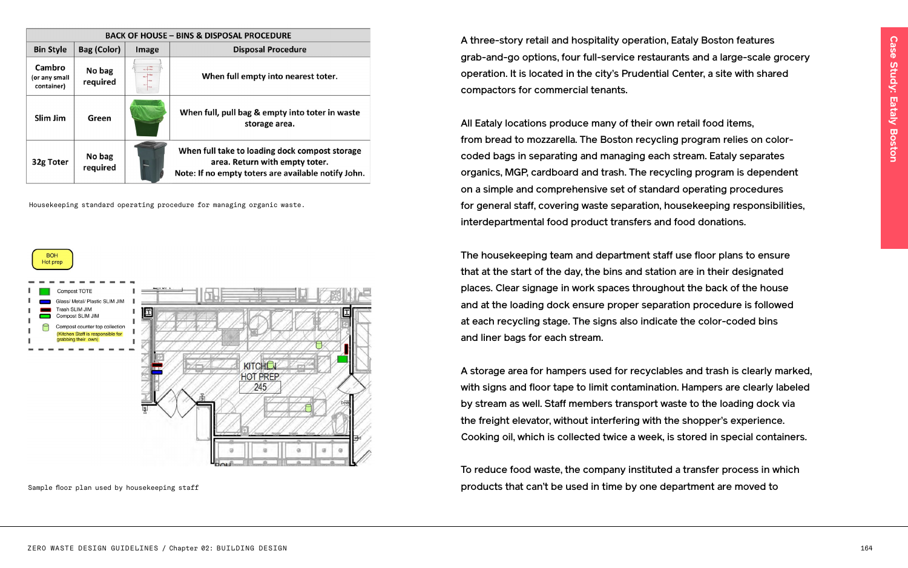### **PROCEDURE**

oosal Procedure

mpty into nearest toter.

ıg & empty into toter in waste storage area.

loading dock compost storage urn with empty toter. toters are available notify John.

A three-story retail and hospitality operation, Eataly Boston features grab-and-go options, four full-service restaurants and a large-scale grocery operation. It is located in the city's Prudential Center, a site with shared compactors for commercial tenants.

All Eataly locations produce many of their own retail food items, from bread to mozzarella. The Boston recycling program relies on colorcoded bags in separating and managing each stream. Eataly separates organics, MGP, cardboard and trash. The recycling program is dependent on a simple and comprehensive set of standard operating procedures for general staff, covering waste separation, housekeeping responsibilities, interdepartmental food product transfers and food donations.

The housekeeping team and department staff use floor plans to ensure that at the start of the day, the bins and station are in their designated places. Clear signage in work spaces throughout the back of the house and at the loading dock ensure proper separation procedure is followed at each recycling stage. The signs also indicate the color-coded bins and liner bags for each stream.

A storage area for hampers used for recyclables and trash is clearly marked, with signs and floor tape to limit contamination. Hampers are clearly labeled by stream as well. Staff members transport waste to the loading dock via the freight elevator, without interfering with the shopper's experience. Cooking oil, which is collected twice a week, is stored in special containers.

To reduce food waste, the company instituted a transfer process in which products that can't be used in time by one department are moved to

| <b>BACK OF HOUSE - BINS &amp; DISPOSAL P</b>           |       |                    |                                       |
|--------------------------------------------------------|-------|--------------------|---------------------------------------|
| Disp                                                   | Image | <b>Bag (Color)</b> | <b>Bin Style</b>                      |
| When full er                                           |       | No bag<br>required | Cambro<br>(or any small<br>container) |
| When full, pull ba                                     |       | Green              | Slim Jim                              |
| When full take to<br>area. Retu<br>Note: If no empty t |       | No bag<br>required | 32g Toter                             |

Housekeeping standard operating procedure for managing organic waste.



Sample floor plan used by housekeeping staff